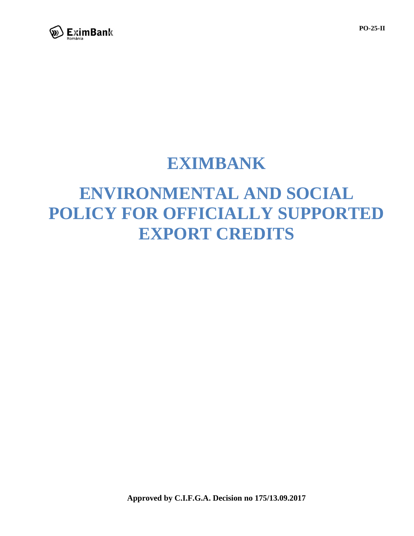

## **EXIMBANK**

# **ENVIRONMENTAL AND SOCIAL POLICY FOR OFFICIALLY SUPPORTED EXPORT CREDITS**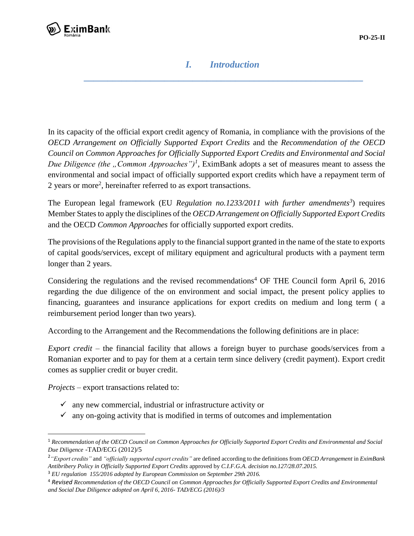

#### *I. Introduction \_\_\_\_\_\_\_\_\_\_\_\_\_\_\_\_\_\_\_\_\_\_\_\_\_\_\_\_\_\_\_\_\_\_\_\_\_\_\_\_\_\_\_\_\_\_\_\_\_\_\_\_\_\_\_\_\_\_\_*

In its capacity of the official export credit agency of Romania, in compliance with the provisions of the *OECD Arrangement on Officially Supported Export Credits* and the *Recommendation of the OECD Council on Common Approaches for Officially Supported Export Credits and Environmental and Social Due Diligence (the , Common Approaches'')<sup>1</sup>*, EximBank adopts a set of measures meant to assess the environmental and social impact of officially supported export credits which have a repayment term of 2 years or more<sup>2</sup>, hereinafter referred to as export transactions.

The European legal framework (EU *Regulation no.1233/2011 with further amendments<sup>3</sup>* ) requires Member States to apply the disciplines of the *OECD Arrangement on Officially Supported Export Credits* and the OECD *Common Approaches* for officially supported export credits.

The provisions of the Regulations apply to the financial support granted in the name of the state to exports of capital goods/services, except of military equipment and agricultural products with a payment term longer than 2 years.

Considering the regulations and the revised recommendations<sup>4</sup> OF THE Council form April 6, 2016 regarding the due diligence of the on environment and social impact, the present policy applies to financing, guarantees and insurance applications for export credits on medium and long term ( a reimbursement period longer than two years).

According to the Arrangement and the Recommendations the following definitions are in place:

*Export credit* – the financial facility that allows a foreign buyer to purchase goods/services from a Romanian exporter and to pay for them at a certain term since delivery (credit payment). Export credit comes as supplier credit or buyer credit.

*Projects* – export transactions related to:

 $\overline{\phantom{a}}$ 

- $\checkmark$  any new commercial, industrial or infrastructure activity or
- $\checkmark$  any on-going activity that is modified in terms of outcomes and implementation

<sup>1</sup> *Recommendation of the OECD Council on Common Approaches for Officially Supported Export Credits and Environmental and Social Due Diligence* -TAD/ECG (2012)/5

<sup>2</sup> *"Export credits"* and *"officially supported export credits"* are defined according to the definitions from *OECD Arrangement* in *EximBank Antibribery Policy in Officially Supported Export Credits* approved by *C.I.F.G.A. decision no.127/28.07.2015.*

<sup>3</sup> *EU regulation 155/2016 adopted by European Commission on September 29th 2016.*

<sup>4</sup> *Revised Recommendation of the OECD Council on Common Approaches for Officially Supported Export Credits and Environmental and Social Due Diligence adopted on April 6, 2016- TAD/ECG (2016)/3*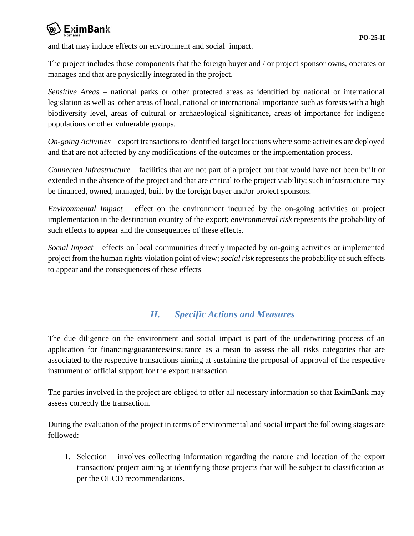

and that may induce effects on environment and social impact.

The project includes those components that the foreign buyer and / or project sponsor owns, operates or manages and that are physically integrated in the project.

*Sensitive Areas* – national parks or other protected areas as identified by national or international legislation as well as other areas of local, national or international importance such as forests with a high biodiversity level, areas of cultural or archaeological significance, areas of importance for indigene populations or other vulnerable groups.

*On-going Activities* – export transactions to identified target locations where some activities are deployed and that are not affected by any modifications of the outcomes or the implementation process.

*Connected Infrastructure –* facilities that are not part of a project but that would have not been built or extended in the absence of the project and that are critical to the project viability; such infrastructure may be financed, owned, managed, built by the foreign buyer and/or project sponsors.

*Environmental Impact –* effect on the environment incurred by the on-going activities or project implementation in the destination country of the export; *environmental risk* represents the probability of such effects to appear and the consequences of these effects.

*Social Impact* – effects on local communities directly impacted by on-going activities or implemented project from the human rights violation point of view; *social risk* represents the probability of such effects to appear and the consequences of these effects

### *II. Specific Actions and Measures*

*\_\_\_\_\_\_\_\_\_\_\_\_\_\_\_\_\_\_\_\_\_\_\_\_\_\_\_\_\_\_\_\_\_\_\_\_\_\_\_\_\_\_\_\_\_\_\_\_\_\_\_\_\_\_\_\_\_\_\_\_\_*

The due diligence on the environment and social impact is part of the underwriting process of an application for financing/guarantees/insurance as a mean to assess the all risks categories that are associated to the respective transactions aiming at sustaining the proposal of approval of the respective instrument of official support for the export transaction.

The parties involved in the project are obliged to offer all necessary information so that EximBank may assess correctly the transaction.

During the evaluation of the project in terms of environmental and social impact the following stages are followed:

1. Selection – involves collecting information regarding the nature and location of the export transaction/ project aiming at identifying those projects that will be subject to classification as per the OECD recommendations.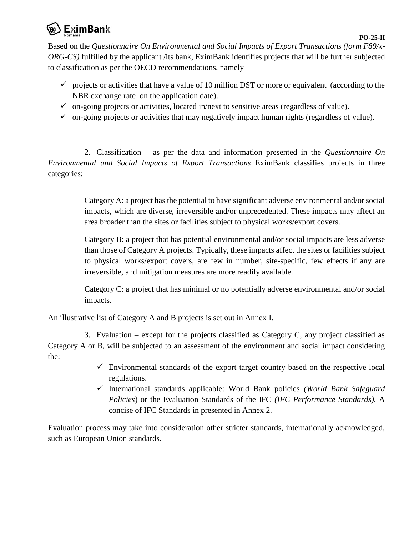

Based on the *Questionnaire On Environmental and Social Impacts of Export Transactions (form F89/x-ORG-CS)* fulfilled by the applicant /its bank, EximBank identifies projects that will be further subjected to classification as per the OECD recommendations, namely

- $\checkmark$  projects or activities that have a value of 10 million DST or more or equivalent (according to the NBR exchange rate on the application date).
- $\checkmark$  on-going projects or activities, located in/next to sensitive areas (regardless of value).
- $\checkmark$  on-going projects or activities that may negatively impact human rights (regardless of value).

2. Classification – as per the data and information presented in the *Questionnaire On Environmental and Social Impacts of Export Transactions* EximBank classifies projects in three categories:

> Category A: a project has the potential to have significant adverse environmental and/or social impacts, which are diverse, irreversible and/or unprecedented. These impacts may affect an area broader than the sites or facilities subject to physical works/export covers.

> Category B: a project that has potential environmental and/or social impacts are less adverse than those of Category A projects. Typically, these impacts affect the sites or facilities subject to physical works/export covers, are few in number, site-specific, few effects if any are irreversible, and mitigation measures are more readily available.

> Category C: a project that has minimal or no potentially adverse environmental and/or social impacts.

An illustrative list of Category A and B projects is set out in Annex I.

3. Evaluation – except for the projects classified as Category C, any project classified as Category A or B, will be subjected to an assessment of the environment and social impact considering the:

- $\checkmark$  Environmental standards of the export target country based on the respective local regulations.
- International standards applicable: World Bank policies *(World Bank Safeguard Policies*) or the Evaluation Standards of the IFC *(IFC Performance Standards).* A concise of IFC Standards in presented in Annex 2.

Evaluation process may take into consideration other stricter standards, internationally acknowledged, such as European Union standards.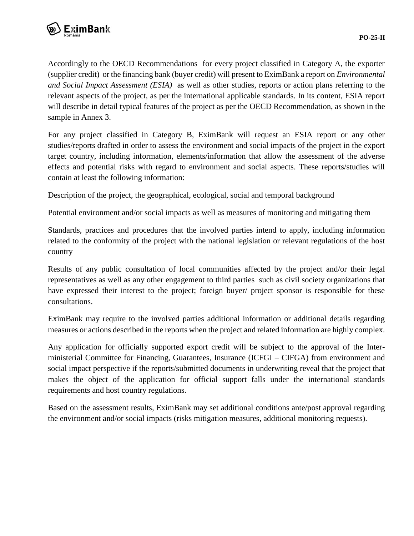

Accordingly to the OECD Recommendations for every project classified in Category A, the exporter (supplier credit) or the financing bank (buyer credit) will present to EximBank a report on *Environmental and Social Impact Assessment (ESIA)* as well as other studies, reports or action plans referring to the relevant aspects of the project, as per the international applicable standards. In its content, ESIA report will describe in detail typical features of the project as per the OECD Recommendation, as shown in the sample in Annex 3.

For any project classified in Category B, EximBank will request an ESIA report or any other studies/reports drafted in order to assess the environment and social impacts of the project in the export target country, including information, elements/information that allow the assessment of the adverse effects and potential risks with regard to environment and social aspects. These reports/studies will contain at least the following information:

Description of the project, the geographical, ecological, social and temporal background

Potential environment and/or social impacts as well as measures of monitoring and mitigating them

Standards, practices and procedures that the involved parties intend to apply, including information related to the conformity of the project with the national legislation or relevant regulations of the host country

Results of any public consultation of local communities affected by the project and/or their legal representatives as well as any other engagement to third parties such as civil society organizations that have expressed their interest to the project; foreign buyer/ project sponsor is responsible for these consultations.

EximBank may require to the involved parties additional information or additional details regarding measures or actions described in the reports when the project and related information are highly complex.

Any application for officially supported export credit will be subject to the approval of the Interministerial Committee for Financing, Guarantees, Insurance (ICFGI – CIFGA) from environment and social impact perspective if the reports/submitted documents in underwriting reveal that the project that makes the object of the application for official support falls under the international standards requirements and host country regulations.

Based on the assessment results, EximBank may set additional conditions ante/post approval regarding the environment and/or social impacts (risks mitigation measures, additional monitoring requests).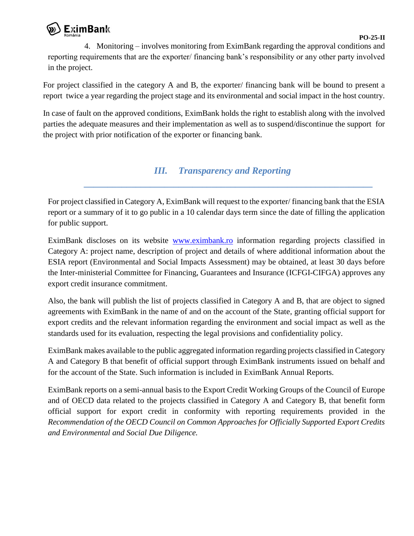

4. Monitoring – involves monitoring from EximBank regarding the approval conditions and reporting requirements that are the exporter/ financing bank's responsibility or any other party involved in the project.

For project classified in the category A and B, the exporter/ financing bank will be bound to present a report twice a year regarding the project stage and its environmental and social impact in the host country.

In case of fault on the approved conditions, EximBank holds the right to establish along with the involved parties the adequate measures and their implementation as well as to suspend/discontinue the support for the project with prior notification of the exporter or financing bank.

#### *III. Transparency and Reporting*

*\_\_\_\_\_\_\_\_\_\_\_\_\_\_\_\_\_\_\_\_\_\_\_\_\_\_\_\_\_\_\_\_\_\_\_\_\_\_\_\_\_\_\_\_\_\_\_\_\_\_\_\_\_\_\_\_\_\_\_\_\_*

For project classified in Category A, EximBank will request to the exporter/ financing bank that the ESIA report or a summary of it to go public in a 10 calendar days term since the date of filling the application for public support.

EximBank discloses on its website [www.eximbank.ro](http://www.eximbank.ro/) information regarding projects classified in Category A: project name, description of project and details of where additional information about the ESIA report (Environmental and Social Impacts Assessment) may be obtained, at least 30 days before the Inter-ministerial Committee for Financing, Guarantees and Insurance (ICFGI-CIFGA) approves any export credit insurance commitment.

Also, the bank will publish the list of projects classified in Category A and B, that are object to signed agreements with EximBank in the name of and on the account of the State, granting official support for export credits and the relevant information regarding the environment and social impact as well as the standards used for its evaluation, respecting the legal provisions and confidentiality policy.

EximBank makes available to the public aggregated information regarding projects classified in Category A and Category B that benefit of official support through EximBank instruments issued on behalf and for the account of the State. Such information is included in EximBank Annual Reports.

EximBank reports on a semi-annual basis to the Export Credit Working Groups of the Council of Europe and of OECD data related to the projects classified in Category A and Category B, that benefit form official support for export credit in conformity with reporting requirements provided in the *Recommendation of the OECD Council on Common Approaches for Officially Supported Export Credits and Environmental and Social Due Diligence.*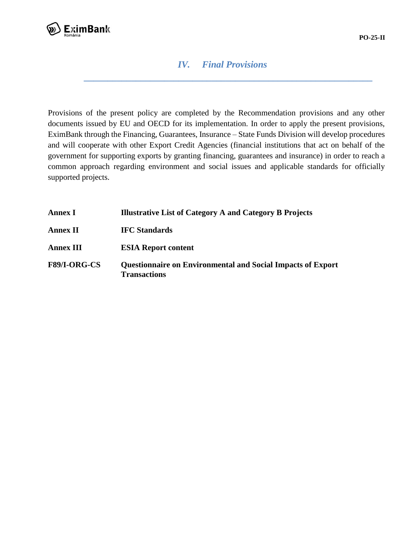

#### *IV. Final Provisions*

*\_\_\_\_\_\_\_\_\_\_\_\_\_\_\_\_\_\_\_\_\_\_\_\_\_\_\_\_\_\_\_\_\_\_\_\_\_\_\_\_\_\_\_\_\_\_\_\_\_\_\_\_\_\_\_\_\_\_\_\_\_*

Provisions of the present policy are completed by the Recommendation provisions and any other documents issued by EU and OECD for its implementation. In order to apply the present provisions, EximBank through the Financing, Guarantees, Insurance – State Funds Division will develop procedures and will cooperate with other Export Credit Agencies (financial institutions that act on behalf of the government for supporting exports by granting financing, guarantees and insurance) in order to reach a common approach regarding environment and social issues and applicable standards for officially supported projects.

| <b>Annex I</b>      | <b>Illustrative List of Category A and Category B Projects</b>                            |
|---------------------|-------------------------------------------------------------------------------------------|
| <b>Annex II</b>     | <b>IFC</b> Standards                                                                      |
| <b>Annex III</b>    | <b>ESIA Report content</b>                                                                |
| <b>F89/I-ORG-CS</b> | <b>Questionnaire on Environmental and Social Impacts of Export</b><br><b>Transactions</b> |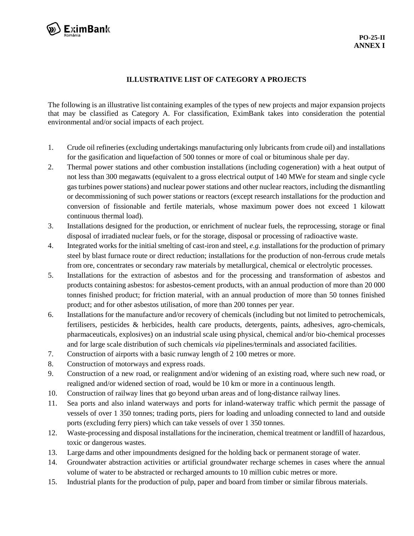

#### **ILLUSTRATIVE LIST OF CATEGORY A PROJECTS**

The following is an illustrative list containing examples of the types of new projects and major expansion projects that may be classified as Category A. For classification, EximBank takes into consideration the potential environmental and/or social impacts of each project.

- 1. Crude oil refineries (excluding undertakings manufacturing only lubricants from crude oil) and installations for the gasification and liquefaction of 500 tonnes or more of coal or bituminous shale per day.
- 2. Thermal power stations and other combustion installations (including cogeneration) with a heat output of not less than 300 megawatts (equivalent to a gross electrical output of 140 MWe for steam and single cycle gas turbines power stations) and nuclear power stations and other nuclear reactors, including the dismantling or decommissioning of such power stations or reactors (except research installations for the production and conversion of fissionable and fertile materials, whose maximum power does not exceed 1 kilowatt continuous thermal load).
- 3. Installations designed for the production, or enrichment of nuclear fuels, the reprocessing, storage or final disposal of irradiated nuclear fuels, or for the storage, disposal or processing of radioactive waste.
- 4. Integrated works for the initial smelting of cast-iron and steel, *e.g.* installations for the production of primary steel by blast furnace route or direct reduction; installations for the production of non-ferrous crude metals from ore, concentrates or secondary raw materials by metallurgical, chemical or electrolytic processes.
- 5. Installations for the extraction of asbestos and for the processing and transformation of asbestos and products containing asbestos: for asbestos-cement products, with an annual production of more than 20 000 tonnes finished product; for friction material, with an annual production of more than 50 tonnes finished product; and for other asbestos utilisation, of more than 200 tonnes per year.
- 6. Installations for the manufacture and/or recovery of chemicals (including but not limited to petrochemicals, fertilisers, pesticides & herbicides, health care products, detergents, paints, adhesives, agro-chemicals, pharmaceuticals, explosives) on an industrial scale using physical, chemical and/or bio-chemical processes and for large scale distribution of such chemicals *via* pipelines/terminals and associated facilities.
- 7. Construction of airports with a basic runway length of 2 100 metres or more.
- 8. Construction of motorways and express roads.
- 9. Construction of a new road, or realignment and/or widening of an existing road, where such new road, or realigned and/or widened section of road, would be 10 km or more in a continuous length.
- 10. Construction of railway lines that go beyond urban areas and of long-distance railway lines.
- 11. Sea ports and also inland waterways and ports for inland-waterway traffic which permit the passage of vessels of over 1 350 tonnes; trading ports, piers for loading and unloading connected to land and outside ports (excluding ferry piers) which can take vessels of over 1 350 tonnes.
- 12. Waste-processing and disposal installations for the incineration, chemical treatment or landfill of hazardous, toxic or dangerous wastes.
- 13. Large dams and other impoundments designed for the holding back or permanent storage of water.
- 14. Groundwater abstraction activities or artificial groundwater recharge schemes in cases where the annual volume of water to be abstracted or recharged amounts to 10 million cubic metres or more.
- 15. Industrial plants for the production of pulp, paper and board from timber or similar fibrous materials.